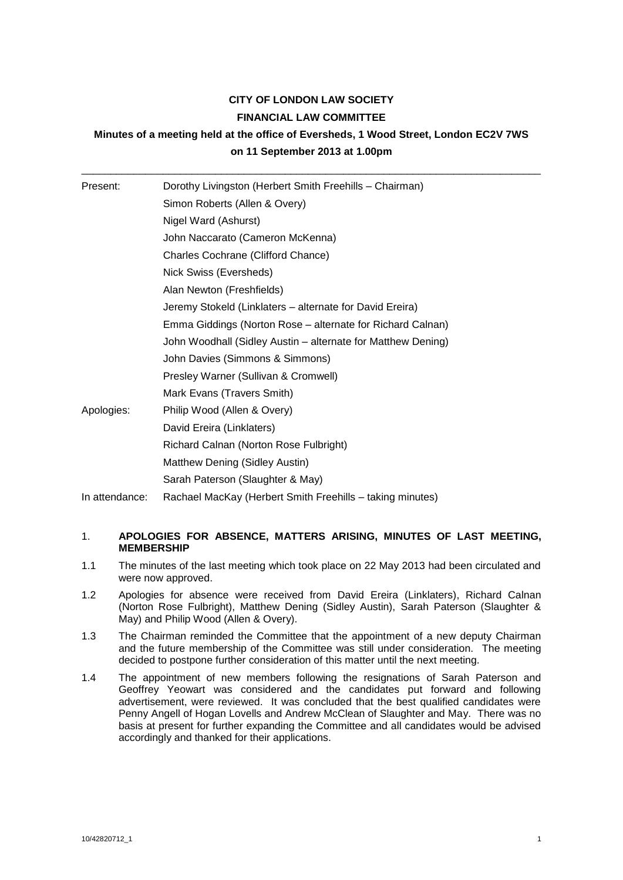# **CITY OF LONDON LAW SOCIETY FINANCIAL LAW COMMITTEE**

# **Minutes of a meeting held at the office of Eversheds, 1 Wood Street, London EC2V 7WS on 11 September 2013 at 1.00pm**

| Present:       | Dorothy Livingston (Herbert Smith Freehills - Chairman)      |
|----------------|--------------------------------------------------------------|
|                | Simon Roberts (Allen & Overy)                                |
|                | Nigel Ward (Ashurst)                                         |
|                | John Naccarato (Cameron McKenna)                             |
|                | Charles Cochrane (Clifford Chance)                           |
|                | Nick Swiss (Eversheds)                                       |
|                | Alan Newton (Freshfields)                                    |
|                | Jeremy Stokeld (Linklaters – alternate for David Ereira)     |
|                | Emma Giddings (Norton Rose – alternate for Richard Calnan)   |
|                | John Woodhall (Sidley Austin – alternate for Matthew Dening) |
|                | John Davies (Simmons & Simmons)                              |
|                | Presley Warner (Sullivan & Cromwell)                         |
|                | Mark Evans (Travers Smith)                                   |
| Apologies:     | Philip Wood (Allen & Overy)                                  |
|                | David Ereira (Linklaters)                                    |
|                | Richard Calnan (Norton Rose Fulbright)                       |
|                | Matthew Dening (Sidley Austin)                               |
|                | Sarah Paterson (Slaughter & May)                             |
| In attendance: | Rachael MacKay (Herbert Smith Freehills - taking minutes)    |

## 1. **APOLOGIES FOR ABSENCE, MATTERS ARISING, MINUTES OF LAST MEETING, MEMBERSHIP**

- 1.1 The minutes of the last meeting which took place on 22 May 2013 had been circulated and were now approved.
- 1.2 Apologies for absence were received from David Ereira (Linklaters), Richard Calnan (Norton Rose Fulbright), Matthew Dening (Sidley Austin), Sarah Paterson (Slaughter & May) and Philip Wood (Allen & Overy).
- 1.3 The Chairman reminded the Committee that the appointment of a new deputy Chairman and the future membership of the Committee was still under consideration. The meeting decided to postpone further consideration of this matter until the next meeting.
- 1.4 The appointment of new members following the resignations of Sarah Paterson and Geoffrey Yeowart was considered and the candidates put forward and following advertisement, were reviewed. It was concluded that the best qualified candidates were Penny Angell of Hogan Lovells and Andrew McClean of Slaughter and May. There was no basis at present for further expanding the Committee and all candidates would be advised accordingly and thanked for their applications.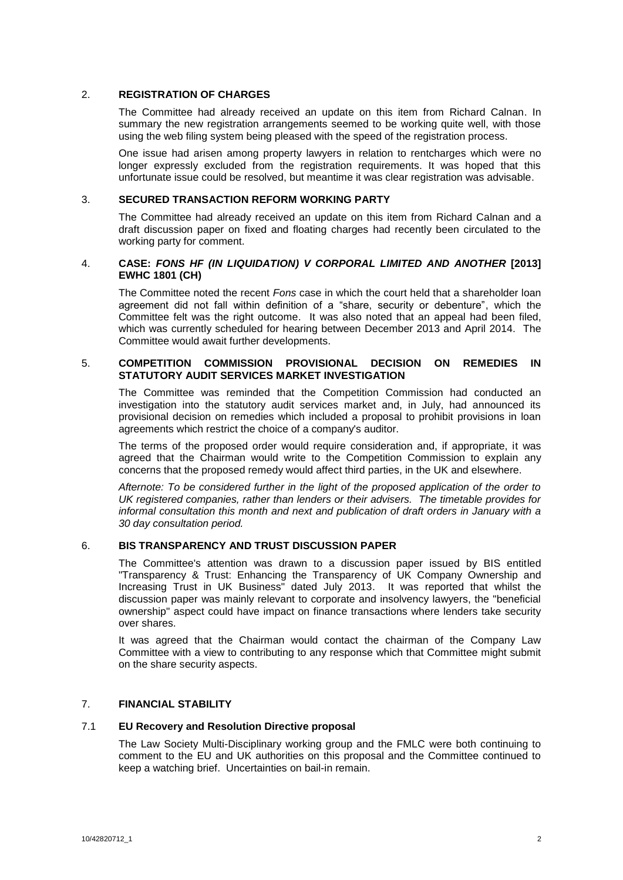### 2. **REGISTRATION OF CHARGES**

The Committee had already received an update on this item from Richard Calnan. In summary the new registration arrangements seemed to be working quite well, with those using the web filing system being pleased with the speed of the registration process.

One issue had arisen among property lawyers in relation to rentcharges which were no longer expressly excluded from the registration requirements. It was hoped that this unfortunate issue could be resolved, but meantime it was clear registration was advisable.

### 3. **SECURED TRANSACTION REFORM WORKING PARTY**

The Committee had already received an update on this item from Richard Calnan and a draft discussion paper on fixed and floating charges had recently been circulated to the working party for comment.

## 4. **CASE:** *FONS HF (IN LIQUIDATION) V CORPORAL LIMITED AND ANOTHER* **[2013] EWHC 1801 (CH)**

The Committee noted the recent *Fons* case in which the court held that a shareholder loan agreement did not fall within definition of a "share, security or debenture", which the Committee felt was the right outcome. It was also noted that an appeal had been filed, which was currently scheduled for hearing between December 2013 and April 2014. The Committee would await further developments.

#### 5. **COMPETITION COMMISSION PROVISIONAL DECISION ON REMEDIES IN STATUTORY AUDIT SERVICES MARKET INVESTIGATION**

The Committee was reminded that the Competition Commission had conducted an investigation into the statutory audit services market and, in July, had announced its provisional decision on remedies which included a proposal to prohibit provisions in loan agreements which restrict the choice of a company's auditor.

The terms of the proposed order would require consideration and, if appropriate, it was agreed that the Chairman would write to the Competition Commission to explain any concerns that the proposed remedy would affect third parties, in the UK and elsewhere.

*Afternote: To be considered further in the light of the proposed application of the order to UK registered companies, rather than lenders or their advisers. The timetable provides for informal consultation this month and next and publication of draft orders in January with a 30 day consultation period.*

## 6. **BIS TRANSPARENCY AND TRUST DISCUSSION PAPER**

The Committee's attention was drawn to a discussion paper issued by BIS entitled "Transparency & Trust: Enhancing the Transparency of UK Company Ownership and Increasing Trust in UK Business" dated July 2013. It was reported that whilst the discussion paper was mainly relevant to corporate and insolvency lawyers, the "beneficial ownership" aspect could have impact on finance transactions where lenders take security over shares.

It was agreed that the Chairman would contact the chairman of the Company Law Committee with a view to contributing to any response which that Committee might submit on the share security aspects.

## 7. **FINANCIAL STABILITY**

## 7.1 **EU Recovery and Resolution Directive proposal**

The Law Society Multi-Disciplinary working group and the FMLC were both continuing to comment to the EU and UK authorities on this proposal and the Committee continued to keep a watching brief. Uncertainties on bail-in remain.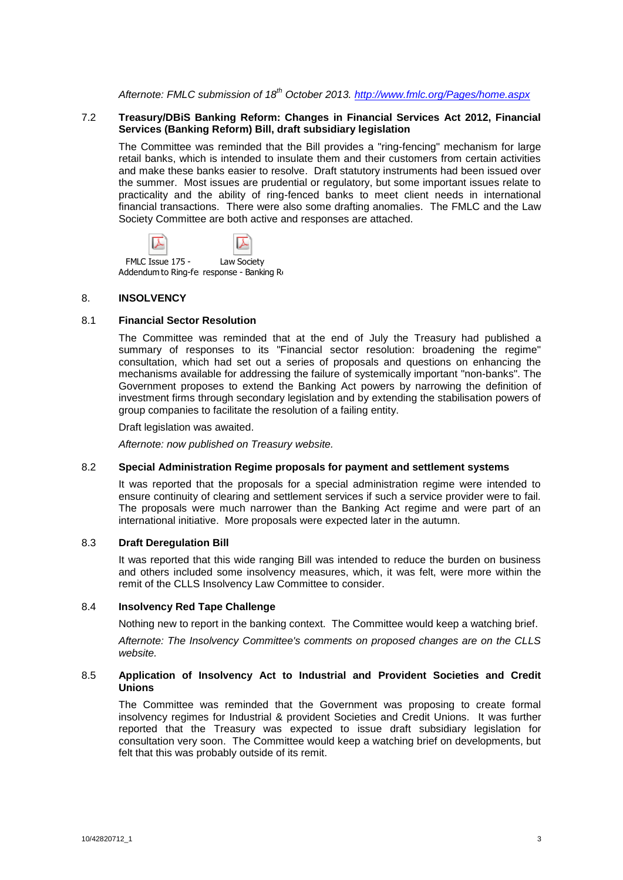*Afternote: FMLC submission of 18th October 2013.<http://www.fmlc.org/Pages/home.aspx>*

### 7.2 **Treasury/DBiS Banking Reform: Changes in Financial Services Act 2012, Financial Services (Banking Reform) Bill, draft subsidiary legislation**

The Committee was reminded that the Bill provides a "ring-fencing" mechanism for large retail banks, which is intended to insulate them and their customers from certain activities and make these banks easier to resolve. Draft statutory instruments had been issued over the summer. Most issues are prudential or regulatory, but some important issues relate to practicality and the ability of ring-fenced banks to meet client needs in international financial transactions. There were also some drafting anomalies. The FMLC and the Law Society Committee are both active and responses are attached.



Addendum to Ring-fenresponse - Banking Reform Secondary Legislation - October 2013.

### 8. **INSOLVENCY**

#### 8.1 **Financial Sector Resolution**

The Committee was reminded that at the end of July the Treasury had published a summary of responses to its "Financial sector resolution: broadening the regime" consultation, which had set out a series of proposals and questions on enhancing the mechanisms available for addressing the failure of systemically important "non-banks". The Government proposes to extend the Banking Act powers by narrowing the definition of investment firms through secondary legislation and by extending the stabilisation powers of group companies to facilitate the resolution of a failing entity.

Draft legislation was awaited.

*Afternote: now published on Treasury website.*

#### 8.2 **Special Administration Regime proposals for payment and settlement systems**

It was reported that the proposals for a special administration regime were intended to ensure continuity of clearing and settlement services if such a service provider were to fail. The proposals were much narrower than the Banking Act regime and were part of an international initiative. More proposals were expected later in the autumn.

#### 8.3 **Draft Deregulation Bill**

It was reported that this wide ranging Bill was intended to reduce the burden on business and others included some insolvency measures, which, it was felt, were more within the remit of the CLLS Insolvency Law Committee to consider.

#### 8.4 **Insolvency Red Tape Challenge**

Nothing new to report in the banking context. The Committee would keep a watching brief.

*Afternote: The Insolvency Committee's comments on proposed changes are on the CLLS website.*

#### 8.5 **Application of Insolvency Act to Industrial and Provident Societies and Credit Unions**

The Committee was reminded that the Government was proposing to create formal insolvency regimes for Industrial & provident Societies and Credit Unions. It was further reported that the Treasury was expected to issue draft subsidiary legislation for consultation very soon. The Committee would keep a watching brief on developments, but felt that this was probably outside of its remit.